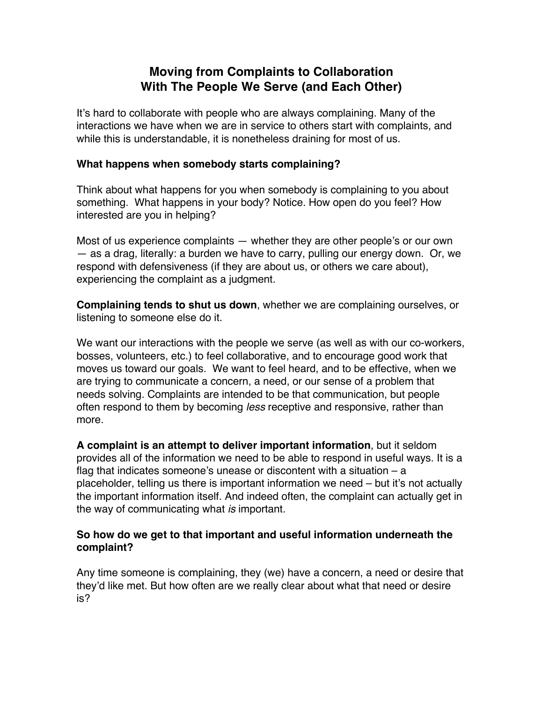# **Moving from Complaints to Collaboration With The People We Serve (and Each Other)**

It's hard to collaborate with people who are always complaining. Many of the interactions we have when we are in service to others start with complaints, and while this is understandable, it is nonetheless draining for most of us.

### **What happens when somebody starts complaining?**

Think about what happens for you when somebody is complaining to you about something. What happens in your body? Notice. How open do you feel? How interested are you in helping?

Most of us experience complaints — whether they are other people's or our own — as a drag, literally: a burden we have to carry, pulling our energy down. Or, we respond with defensiveness (if they are about us, or others we care about), experiencing the complaint as a judgment.

**Complaining tends to shut us down**, whether we are complaining ourselves, or listening to someone else do it.

We want our interactions with the people we serve (as well as with our co-workers, bosses, volunteers, etc.) to feel collaborative, and to encourage good work that moves us toward our goals. We want to feel heard, and to be effective, when we are trying to communicate a concern, a need, or our sense of a problem that needs solving. Complaints are intended to be that communication, but people often respond to them by becoming *less* receptive and responsive, rather than more.

**A complaint is an attempt to deliver important information**, but it seldom provides all of the information we need to be able to respond in useful ways. It is a flag that indicates someone's unease or discontent with a situation  $-$  a placeholder, telling us there is important information we need – but it's not actually the important information itself. And indeed often, the complaint can actually get in the way of communicating what *is* important.

### **So how do we get to that important and useful information underneath the complaint?**

Any time someone is complaining, they (we) have a concern, a need or desire that they'd like met. But how often are we really clear about what that need or desire is?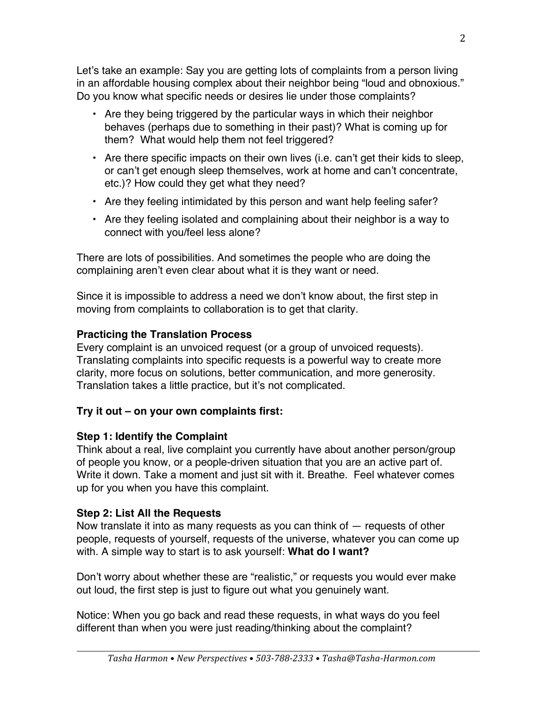Let's take an example: Say you are getting lots of complaints from a person living in an affordable housing complex about their neighbor being "loud and obnoxious." Do you know what specific needs or desires lie under those complaints?

- Are they being triggered by the particular ways in which their neighbor behaves (perhaps due to something in their past)? What is coming up for them? What would help them not feel triggered?
- Are there specific impacts on their own lives (i.e. can't get their kids to sleep, or can't get enough sleep themselves, work at home and can't concentrate, etc.)? How could they get what they need?
- Are they feeling intimidated by this person and want help feeling safer?
- Are they feeling isolated and complaining about their neighbor is a way to connect with you/feel less alone?

There are lots of possibilities. And sometimes the people who are doing the complaining aren't even clear about what it is they want or need.

Since it is impossible to address a need we don't know about, the first step in moving from complaints to collaboration is to get that clarity.

## **Practicing the Translation Process**

Every complaint is an unvoiced request (or a group of unvoiced requests). Translating complaints into specific requests is a powerful way to create more clarity, more focus on solutions, better communication, and more generosity. Translation takes a little practice, but it's not complicated.

## **Try it out – on your own complaints first:**

## **Step 1: Identify the Complaint**

Think about a real, live complaint you currently have about another person/group of people you know, or a people-driven situation that you are an active part of. Write it down. Take a moment and just sit with it. Breathe. Feel whatever comes up for you when you have this complaint.

# **Step 2: List All the Requests**

Now translate it into as many requests as you can think of — requests of other people, requests of yourself, requests of the universe, whatever you can come up with. A simple way to start is to ask yourself: **What do I want?**

Don't worry about whether these are "realistic," or requests you would ever make out loud, the first step is just to figure out what you genuinely want.

Notice: When you go back and read these requests, in what ways do you feel different than when you were just reading/thinking about the complaint?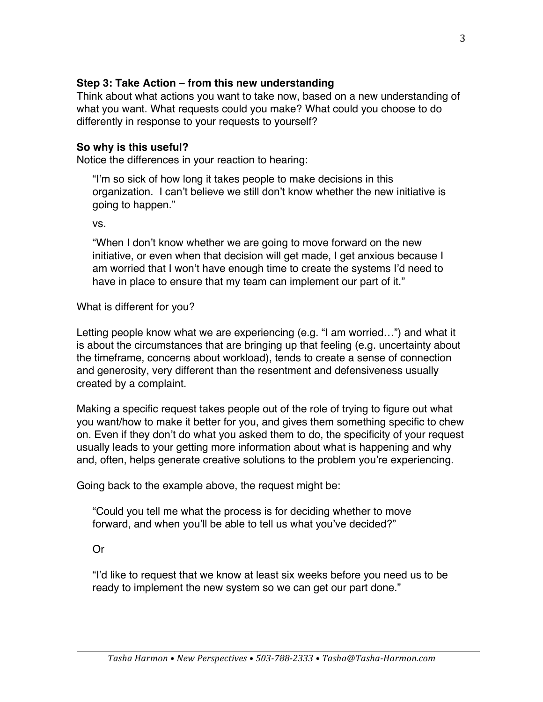## **Step 3: Take Action – from this new understanding**

Think about what actions you want to take now, based on a new understanding of what you want. What requests could you make? What could you choose to do differently in response to your requests to yourself?

## **So why is this useful?**

Notice the differences in your reaction to hearing:

"I'm so sick of how long it takes people to make decisions in this organization. I can't believe we still don't know whether the new initiative is going to happen."

vs.

"When I don't know whether we are going to move forward on the new initiative, or even when that decision will get made, I get anxious because I am worried that I won't have enough time to create the systems I'd need to have in place to ensure that my team can implement our part of it."

What is different for you?

Letting people know what we are experiencing (e.g. "I am worried…") and what it is about the circumstances that are bringing up that feeling (e.g. uncertainty about the timeframe, concerns about workload), tends to create a sense of connection and generosity, very different than the resentment and defensiveness usually created by a complaint.

Making a specific request takes people out of the role of trying to figure out what you want/how to make it better for you, and gives them something specific to chew on. Even if they don't do what you asked them to do, the specificity of your request usually leads to your getting more information about what is happening and why and, often, helps generate creative solutions to the problem you're experiencing.

Going back to the example above, the request might be:

"Could you tell me what the process is for deciding whether to move forward, and when you'll be able to tell us what you've decided?"

Or

"I'd like to request that we know at least six weeks before you need us to be ready to implement the new system so we can get our part done."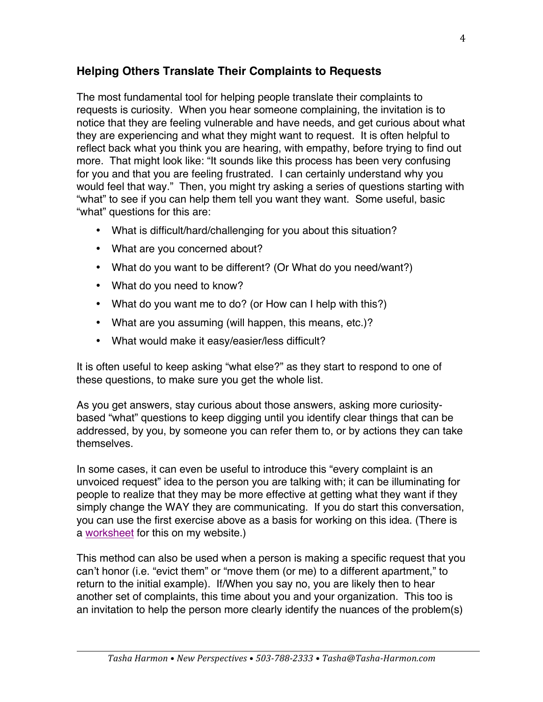# **Helping Others Translate Their Complaints to Requests**

The most fundamental tool for helping people translate their complaints to requests is curiosity. When you hear someone complaining, the invitation is to notice that they are feeling vulnerable and have needs, and get curious about what they are experiencing and what they might want to request. It is often helpful to reflect back what you think you are hearing, with empathy, before trying to find out more. That might look like: "It sounds like this process has been very confusing for you and that you are feeling frustrated. I can certainly understand why you would feel that way." Then, you might try asking a series of questions starting with "what" to see if you can help them tell you want they want. Some useful, basic "what" questions for this are:

- What is difficult/hard/challenging for you about this situation?
- What are you concerned about?
- What do you want to be different? (Or What do you need/want?)
- What do you need to know?
- What do you want me to do? (or How can I help with this?)
- What are you assuming (will happen, this means, etc.)?
- What would make it easy/easier/less difficult?

It is often useful to keep asking "what else?" as they start to respond to one of these questions, to make sure you get the whole list.

As you get answers, stay curious about those answers, asking more curiositybased "what" questions to keep digging until you identify clear things that can be addressed, by you, by someone you can refer them to, or by actions they can take themselves.

In some cases, it can even be useful to introduce this "every complaint is an unvoiced request" idea to the person you are talking with; it can be illuminating for people to realize that they may be more effective at getting what they want if they simply change the WAY they are communicating. If you do start this conversation, you can use the first exercise above as a basis for working on this idea. (There is a worksheet for this on my website.)

This method can also be used when a person is making a specific request that you can't honor (i.e. "evict them" or "move them (or me) to a different apartment," to return to the initial example). If/When you say no, you are likely then to hear another set of complaints, this time about you and your organization. This too is an invitation to help the person more clearly identify the nuances of the problem(s)